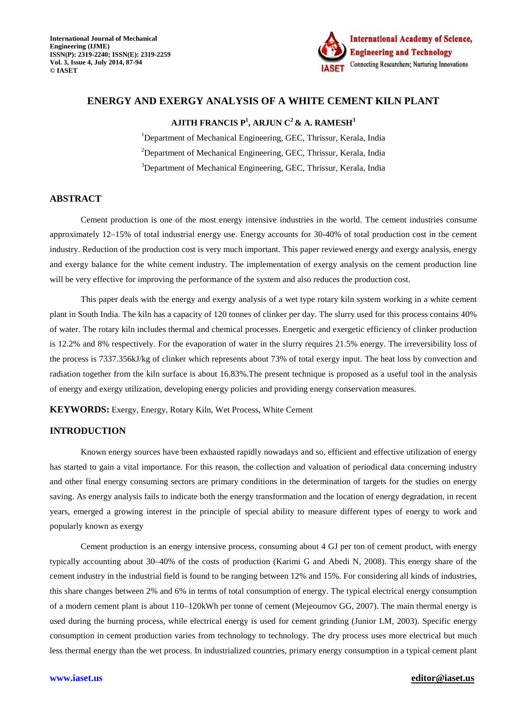

# **ENERGY AND EXERGY ANALYSIS OF A WHITE CEMENT KILN PLANT**

## **AJITH FRANCIS P<sup>1</sup> , ARJUN C<sup>2</sup>& A. RAMESH<sup>3</sup>**

<sup>1</sup>Department of Mechanical Engineering, GEC, Thrissur, Kerala, India <sup>2</sup>Department of Mechanical Engineering, GEC, Thrissur, Kerala, India <sup>3</sup>Department of Mechanical Engineering, GEC, Thrissur, Kerala, India

#### **ABSTRACT**

Cement production is one of the most energy intensive industries in the world. The cement industries consume approximately 12–15% of total industrial energy use. Energy accounts for 30-40% of total production cost in the cement industry. Reduction of the production cost is very much important. This paper reviewed energy and exergy analysis, energy and exergy balance for the white cement industry. The implementation of exergy analysis on the cement production line will be very effective for improving the performance of the system and also reduces the production cost.

This paper deals with the energy and exergy analysis of a wet type rotary kiln system working in a white cement plant in South India. The kiln has a capacity of 120 tonnes of clinker per day. The slurry used for this process contains 40% of water. The rotary kiln includes thermal and chemical processes. Energetic and exergetic efficiency of clinker production is 12.2% and 8% respectively. For the evaporation of water in the slurry requires 21.5% energy. The irreversibility loss of the process is 7337.356kJ/kg of clinker which represents about 73% of total exergy input. The heat loss by convection and radiation together from the kiln surface is about 16.83%.The present technique is proposed as a useful tool in the analysis of energy and exergy utilization, developing energy policies and providing energy conservation measures.

**KEYWORDS:** Exergy, Energy, Rotary Kiln, Wet Process, White Cement

# **INTRODUCTION**

Known energy sources have been exhausted rapidly nowadays and so, efficient and effective utilization of energy has started to gain a vital importance. For this reason, the collection and valuation of periodical data concerning industry and other final energy consuming sectors are primary conditions in the determination of targets for the studies on energy saving. As energy analysis fails to indicate both the energy transformation and the location of energy degradation, in recent years, emerged a growing interest in the principle of special ability to measure different types of energy to work and popularly known as exergy

Cement production is an energy intensive process, consuming about 4 GJ per ton of cement product, with energy typically accounting about 30–40% of the costs of production (Karimi G and Abedi N, 2008). This energy share of the cement industry in the industrial field is found to be ranging between 12% and 15%. For considering all kinds of industries, this share changes between 2% and 6% in terms of total consumption of energy. The typical electrical energy consumption of a modern cement plant is about 110–120kWh per tonne of cement (Mejeoumov GG, 2007). The main thermal energy is used during the burning process, while electrical energy is used for cement grinding (Junior LM, 2003). Specific energy consumption in cement production varies from technology to technology. The dry process uses more electrical but much less thermal energy than the wet process. In industrialized countries, primary energy consumption in a typical cement plant

#### **www.iaset.us editor@iaset.us**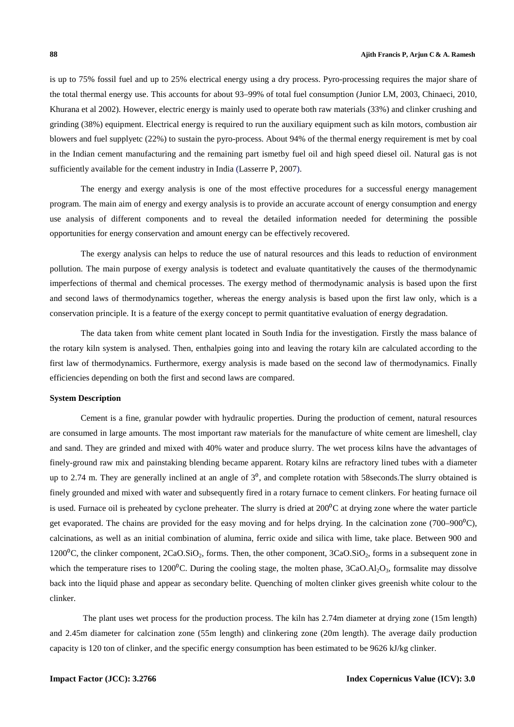is up to 75% fossil fuel and up to 25% electrical energy using a dry process. Pyro-processing requires the major share of the total thermal energy use. This accounts for about 93–99% of total fuel consumption (Junior LM, 2003, Chinaeci, 2010, Khurana et al 2002). However, electric energy is mainly used to operate both raw materials (33%) and clinker crushing and grinding (38%) equipment. Electrical energy is required to run the auxiliary equipment such as kiln motors, combustion air blowers and fuel supplyetc (22%) to sustain the pyro-process. About 94% of the thermal energy requirement is met by coal in the Indian cement manufacturing and the remaining part ismetby fuel oil and high speed diesel oil. Natural gas is not sufficiently available for the cement industry in India (Lasserre P, 2007).

The energy and exergy analysis is one of the most effective procedures for a successful energy management program. The main aim of energy and exergy analysis is to provide an accurate account of energy consumption and energy use analysis of different components and to reveal the detailed information needed for determining the possible opportunities for energy conservation and amount energy can be effectively recovered.

 The exergy analysis can helps to reduce the use of natural resources and this leads to reduction of environment pollution. The main purpose of exergy analysis is todetect and evaluate quantitatively the causes of the thermodynamic imperfections of thermal and chemical processes. The exergy method of thermodynamic analysis is based upon the first and second laws of thermodynamics together, whereas the energy analysis is based upon the first law only, which is a conservation principle. It is a feature of the exergy concept to permit quantitative evaluation of energy degradation.

 The data taken from white cement plant located in South India for the investigation. Firstly the mass balance of the rotary kiln system is analysed. Then, enthalpies going into and leaving the rotary kiln are calculated according to the first law of thermodynamics. Furthermore, exergy analysis is made based on the second law of thermodynamics. Finally efficiencies depending on both the first and second laws are compared.

#### **System Description**

Cement is a fine, granular powder with hydraulic properties. During the production of cement, natural resources are consumed in large amounts. The most important raw materials for the manufacture of white cement are limeshell, clay and sand. They are grinded and mixed with 40% water and produce slurry. The wet process kilns have the advantages of finely-ground raw mix and painstaking blending became apparent. Rotary kilns are refractory lined tubes with a diameter up to 2.74 m. They are generally inclined at an angle of  $3<sup>0</sup>$ , and complete rotation with 58 seconds. The slurry obtained is finely grounded and mixed with water and subsequently fired in a rotary furnace to cement clinkers. For heating furnace oil is used. Furnace oil is preheated by cyclone preheater. The slurry is dried at  $200^{\circ}$ C at drying zone where the water particle get evaporated. The chains are provided for the easy moving and for helps drying. In the calcination zone  $(700-900^{\circ}\text{C})$ , calcinations, as well as an initial combination of alumina, ferric oxide and silica with lime, take place. Between 900 and  $1200\text{°C}$ , the clinker component,  $2CaO.SiO_2$ , forms. Then, the other component,  $3CaO.SiO_2$ , forms in a subsequent zone in which the temperature rises to  $1200^{\circ}$ C. During the cooling stage, the molten phase,  $3CaO.AI<sub>2</sub>O<sub>3</sub>$ , formsalite may dissolve back into the liquid phase and appear as secondary belite. Quenching of molten clinker gives greenish white colour to the clinker.

 The plant uses wet process for the production process. The kiln has 2.74m diameter at drying zone (15m length) and 2.45m diameter for calcination zone (55m length) and clinkering zone (20m length). The average daily production capacity is 120 ton of clinker, and the specific energy consumption has been estimated to be 9626 kJ/kg clinker.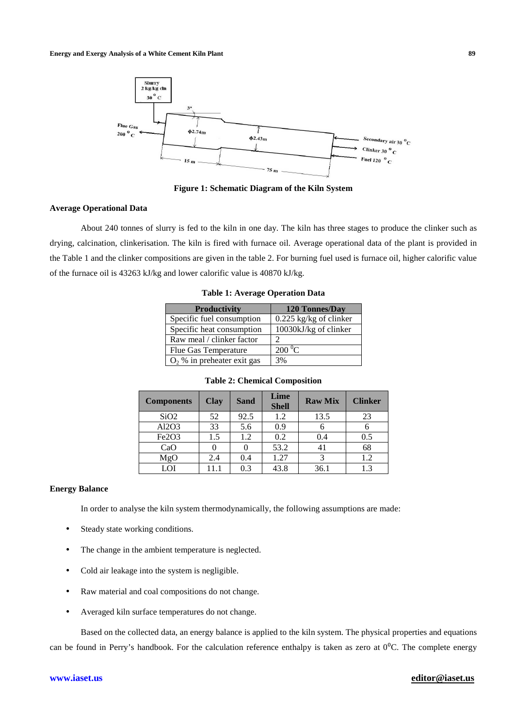

**Figure 1: Schematic Diagram of the Kiln System**

#### **Average Operational Data**

About 240 tonnes of slurry is fed to the kiln in one day. The kiln has three stages to produce the clinker such as drying, calcination, clinkerisation. The kiln is fired with furnace oil. Average operational data of the plant is provided in the Table 1 and the clinker compositions are given in the table 2. For burning fuel used is furnace oil, higher calorific value of the furnace oil is 43263 kJ/kg and lower calorific value is 40870 kJ/kg.

| <b>Productivity</b>          | 120 Tonnes/Day           |
|------------------------------|--------------------------|
| Specific fuel consumption    | $0.225$ kg/kg of clinker |
| Specific heat consumption    | 10030kJ/kg of clinker    |
| Raw meal / clinker factor    |                          |
| Flue Gas Temperature         | $200\,^0C$               |
| $O2$ % in preheater exit gas | 3%                       |

**Table 1: Average Operation Data** 

| <b>Components</b> | <b>Clay</b> | <b>Sand</b> | Lime<br><b>Shell</b> | <b>Raw Mix</b> | <b>Clinker</b> |
|-------------------|-------------|-------------|----------------------|----------------|----------------|
| SiO <sub>2</sub>  | 52          | 92.5        | 1.2                  | 13.5           | 23             |
| Al2O3             | 33          | 5.6         | 0.9                  |                |                |
| Fe2O3             | 1.5         | 1.2         | 0.2                  | 0.4            | 0.5            |
| CaO               |             | 0           | 53.2                 | 41             | 68             |
| MgO               | 2.4         | 0.4         | 1.27                 |                | 1.2            |
| LOI               |             | 0.3         | 43.8                 | 36.1           | 1.3            |

#### **Table 2: Chemical Composition**

### **Energy Balance**

In order to analyse the kiln system thermodynamically, the following assumptions are made:

- Steady state working conditions.
- The change in the ambient temperature is neglected.
- Cold air leakage into the system is negligible.
- Raw material and coal compositions do not change.
- Averaged kiln surface temperatures do not change.

Based on the collected data, an energy balance is applied to the kiln system. The physical properties and equations can be found in Perry's handbook. For the calculation reference enthalpy is taken as zero at  $0^0$ C. The complete energy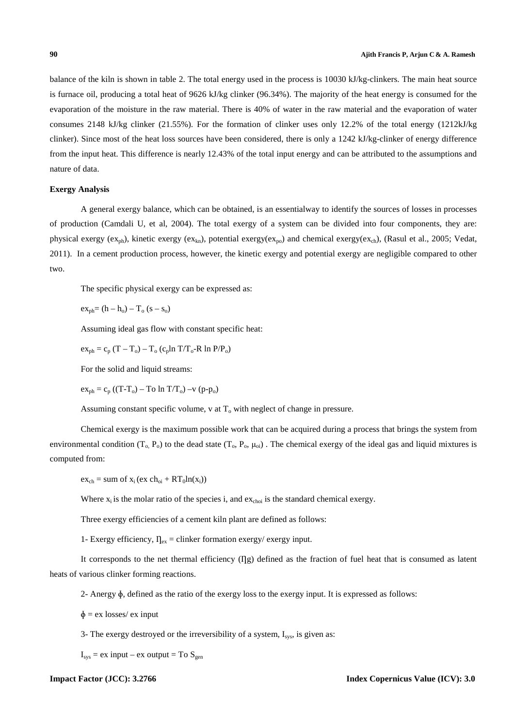balance of the kiln is shown in table 2. The total energy used in the process is 10030 kJ/kg-clinkers. The main heat source is furnace oil, producing a total heat of 9626 kJ/kg clinker (96.34%). The majority of the heat energy is consumed for the evaporation of the moisture in the raw material. There is 40% of water in the raw material and the evaporation of water consumes 2148 kJ/kg clinker (21.55%). For the formation of clinker uses only 12.2% of the total energy (1212kJ/kg clinker). Since most of the heat loss sources have been considered, there is only a 1242 kJ/kg-clinker of energy difference from the input heat. This difference is nearly 12.43% of the total input energy and can be attributed to the assumptions and nature of data.

#### **Exergy Analysis**

A general exergy balance, which can be obtained, is an essentialway to identify the sources of losses in processes of production (Camdali U, et al, 2004). The total exergy of a system can be divided into four components, they are: physical exergy  $(ex_{ph})$ , kinetic exergy  $(ex_{kn})$ , potential exergy $(ex_{po})$  and chemical exergy( $ex_{ch}$ ), (Rasul et al., 2005; Vedat, 2011). In a cement production process, however, the kinetic exergy and potential exergy are negligible compared to other two.

The specific physical exergy can be expressed as:

 $ex_{ab} = (h - h_0) - T_0 (s - s_0)$ 

Assuming ideal gas flow with constant specific heat:

 $ex_{ph} = c_p (T - T_o) - T_o (c_p ln T/T_o - R ln P/P_o)$ 

For the solid and liquid streams:

 $ex_{\text{ph}} = c_{\text{p}} ((T-T_{\text{o}}) - T\text{o} \ln T/T_{\text{o}}) -v (p-p_{\text{o}}))$ 

Assuming constant specific volume,  $v$  at  $T<sub>o</sub>$  with neglect of change in pressure.

Chemical exergy is the maximum possible work that can be acquired during a process that brings the system from environmental condition  $(T_0, P_0)$  to the dead state  $(T_0, P_0, \mu_{0i})$ . The chemical exergy of the ideal gas and liquid mixtures is computed from:

 $ex_{ch} = sum of x_i (ex ch_{oi} + RT_0ln(x_i))$ 

Where  $x_i$  is the molar ratio of the species i, and  $ex_{\text{choi}}$  is the standard chemical exergy.

Three exergy efficiencies of a cement kiln plant are defined as follows:

1- Exergy efficiency,  $I_{\text{lex}} =$  clinker formation exergy/ exergy input.

It corresponds to the net thermal efficiency  $(\Pi g)$  defined as the fraction of fuel heat that is consumed as latent heats of various clinker forming reactions.

2- Anergy ɸ, defined as the ratio of the exergy loss to the exergy input. It is expressed as follows:

 $\phi = eX$  losses/ ex input

3- The exergy destroyed or the irreversibility of a system,  $I_{sys}$ , is given as:

 $I_{sys}$  = ex input – ex output = To  $S_{gen}$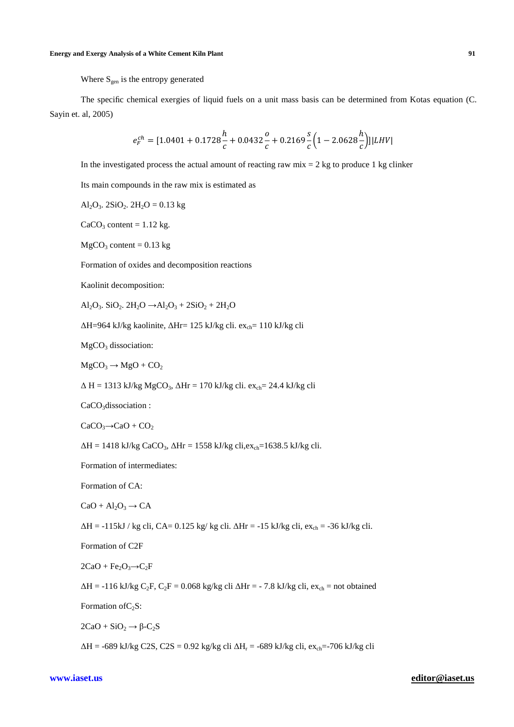The specific chemical exergies of liquid fuels on a unit mass basis can be determined from Kotas equation (C. Sayin et. al, 2005)

$$
e_F^{ch} = [1.0401 + 0.1728 \frac{h}{c} + 0.0432 \frac{o}{c} + 0.2169 \frac{s}{c} \left(1 - 2.0628 \frac{h}{c}\right)]|LHV|
$$

In the investigated process the actual amount of reacting raw  $mix = 2$  kg to produce 1 kg clinker

Its main compounds in the raw mix is estimated as

$$
Al_2O_3. 2SiO_2. 2H_2O = 0.13 kg
$$

 $CaCO<sub>3</sub> content = 1.12 kg.$ 

 $MgCO<sub>3</sub> content = 0.13 kg$ 

Formation of oxides and decomposition reactions

Kaolinit decomposition:

Al<sub>2</sub>O<sub>3</sub>. SiO<sub>2</sub>. 2H<sub>2</sub>O →Al<sub>2</sub>O<sub>3</sub> + 2SiO<sub>2</sub> + 2H<sub>2</sub>O

 $ΔH=964$  kJ/kg kaolinite,  $ΔHr= 125$  kJ/kg cli. ex<sub>ch</sub>= 110 kJ/kg cli

MgCO<sub>3</sub> dissociation:

 $MgCO<sub>3</sub> \rightarrow MgO + CO<sub>2</sub>$ 

 $\Delta H = 1313$  kJ/kg MgCO<sub>3</sub>,  $\Delta Hr = 170$  kJ/kg cli. ex<sub>ch</sub>= 24.4 kJ/kg cli

CaCO<sub>3</sub>dissociation :

 $CaCO<sub>3</sub> \rightarrow CaO + CO<sub>2</sub>$ 

 $\Delta H = 1418 \text{ kJ/kg CaCO}_3$ ,  $\Delta Hr = 1558 \text{ kJ/kg cli}$ , ex<sub>ch</sub>=1638.5 kJ/kg cli.

Formation of intermediates:

Formation of CA:

 $CaO + Al<sub>2</sub>O<sub>3</sub> \rightarrow CA$ 

 $\Delta H = -115$ kJ / kg cli, CA= 0.125 kg/ kg cli.  $\Delta Hr = -15$  kJ/kg cli, ex<sub>ch</sub> = -36 kJ/kg cli.

Formation of C2F

 $2CaO + Fe<sub>2</sub>O<sub>3</sub> \rightarrow C<sub>2</sub>F$ 

 $\Delta H = -116$  kJ/kg C<sub>2</sub>F, C<sub>2</sub>F = 0.068 kg/kg cli  $\Delta Hr = -7.8$  kJ/kg cli, ex<sub>ch</sub> = not obtained

Formation of  $C_2S$ :

 $2CaO + SiO<sub>2</sub> \rightarrow \beta-C<sub>2</sub>S$ 

∆H = -689 kJ/kg C2S, C2S = 0.92 kg/kg cli ∆H<sup>r</sup> = -689 kJ/kg cli, exch=-706 kJ/kg cli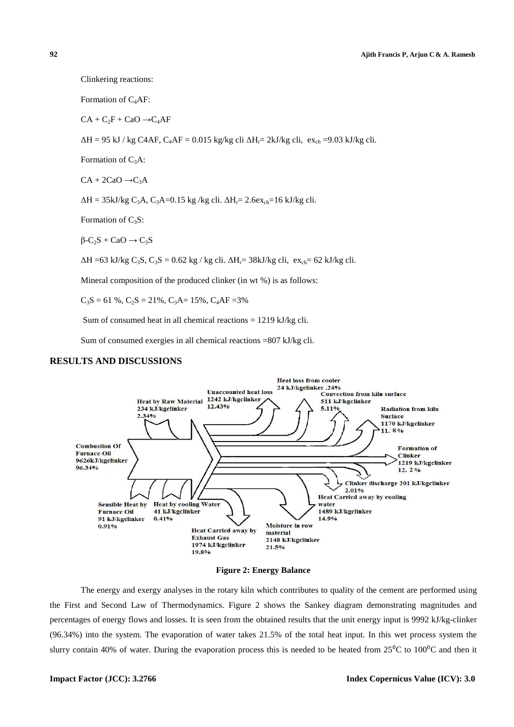```
92
```

```
Clinkering reactions:
```
Formation of C4AF:

 $CA + C<sub>2</sub>F + CaO \rightarrow C<sub>4</sub>AF$ 

∆H = 95 kJ / kg C4AF, C<sub>4</sub>AF = 0.015 kg/kg cli ∆H<sub>r</sub>= 2kJ/kg cli, ex<sub>ch</sub> =9.03 kJ/kg cli.

Formation of  $C_3A$ :

 $CA + 2CaO \rightarrow C_3A$ 

 $\Delta H = 35 \text{kJ/kg C}_3 \text{A}$ , C<sub>3</sub>A=0.15 kg /kg cli.  $\Delta H_r = 2.6 \text{ex}_{ch} = 16 \text{ kJ/kg cli}$ .

Formation of  $C_3S$ :

 $B-C_2S + CaO \rightarrow C_3S$ 

 $\Delta H = 63 \text{ kJ/kg } C_3S$ ,  $C_3S = 0.62 \text{ kg} / \text{kg cli}$ .  $\Delta H_r = 38 \text{ kJ/kg cli}$ ,  $ex_{ch} = 62 \text{ kJ/kg cli}$ .

Mineral composition of the produced clinker (in wt %) is as follows:

 $C_3S = 61\%$ ,  $C_2S = 21\%$ ,  $C_3A = 15\%$ ,  $C_4AF = 3\%$ 

Sum of consumed heat in all chemical reactions  $= 1219 \text{ kJ/kg}$  cli.

Sum of consumed exergies in all chemical reactions =807 kJ/kg cli.

#### **RESULTS AND DISCUSSIONS**



**Figure 2: Energy Balance** 

The energy and exergy analyses in the rotary kiln which contributes to quality of the cement are performed using the First and Second Law of Thermodynamics. Figure 2 shows the Sankey diagram demonstrating magnitudes and percentages of energy flows and losses. It is seen from the obtained results that the unit energy input is 9992 kJ/kg-clinker (96.34%) into the system. The evaporation of water takes 21 . 21.5% of the total heat input. In this wet process system the slurry contain 40% of water. During the evaporation process this is needed to be heated from  $25^0C$  to  $100^0C$  and then it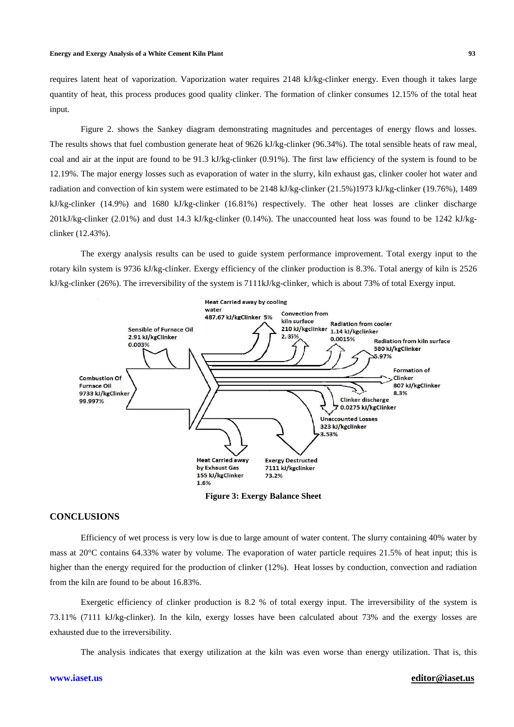#### **Energy and Exergy Analysis of a White Cement Kiln Plant Plant**

requires latent heat of vaporization. Vaporization water requires 2148 kJ/kg-clinker energy. Even though it takes large<br>quantity of heat, this process produces good quality clinker. The formation of clinker consumes 12.15% quantity of heat, this process produces good quality clinker. The formation of clinker consumes 12.15 input.

Figure 2. shows the Sankey diagram demonstrating magnitudes and percentages of energy flows and losses. The results shows that fuel combustion generate heat of 9626 kJ/kg-clinker (96.34%). The total sensible heats of raw meal, coal and air at the input are found to be 91.3 kJ/kg-clinker (0.91%). The first law efficiency of the system is found to be 12.19%. The major energy losses such as evaporation of water in the slurry, kiln exhaust gas, clinker cooler hot radiation and convection of kin system were estimated to be 2148 kJ/kg-clinker (21.5%)1973 kJ/kg-clinker (19.76%), 1489 kJ/kg-clinker (14.9%) and 1680 kJ/kg kJ/kg-clinker (16.81%) respectively. The other heat losses are clinker discharge  $201$ kJ/kg-clinker (2.01%) and dust 14.3 kJ/kg-clinker (0.14%). The unaccounted heat loss was found to be 1242 kJ/kgclinker (12.43%). g-clinker (96.34%). The total sensible heats of raw meal,<br>%). The first law efficiency of the system is found to be<br>the slurry, kiln exhaust gas, clinker cooler hot water and

The exergy analysis results can be used to guide system performance improvement. Total exergy input to the rotary kiln system is 9736 kJ/kg-clinker. Exergy efficiency of the clinker production is 8.3%. Total anergy of kiln is 2526 kJ/kg-clinker (26%). The irreversibility of the system is 7111kJ/kg-clinker, which is about 73% of total Exergy input.



**Figure 3: Exergy Balance Sheet** 

## **CONCLUSIONS**

Efficiency of wet process is very low is due to large amount of water content. The slurry containing 40% water by mass at 20<sup>o</sup>C contains 64.33% water by volume. The evaporation of water particle requires 21.5% of heat input; this is higher than the energy required for the production of clinker (12%). Heat losses by conduction, convection and radiation from the kiln are found to be about 16.83% 16.83%.

Exergetic efficiency of clinker production is 8.2 % of total exergy input. The irreversibility of the system is 73.11% (7111 kJ/kg-clinker). In the kiln, exergy losses have been calculated about 73% and the exergy losses are exhausted due to the irreversibility.

The analysis indicates that exergy utilization at the kiln was even worse than energy utilization. That is

#### **editor@iaset.us**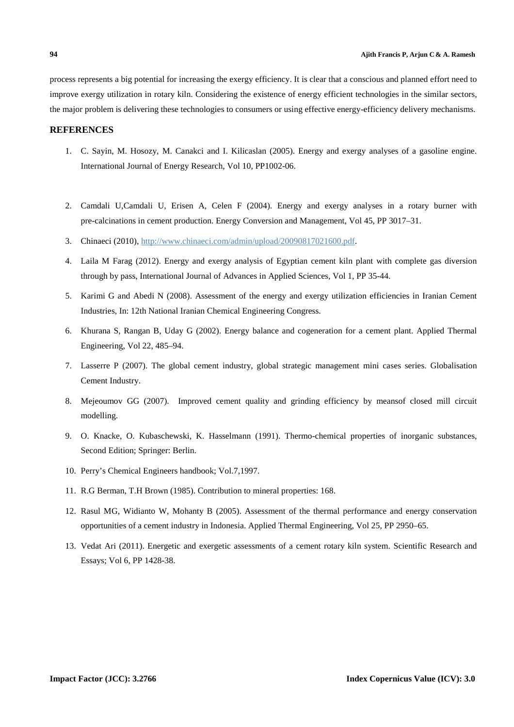process represents a big potential for increasing the exergy efficiency. It is clear that a conscious and planned effort need to improve exergy utilization in rotary kiln. Considering the existence of energy efficient technologies in the similar sectors, the major problem is delivering these technologies to consumers or using effective energy-efficiency delivery mechanisms.

## **REFERENCES**

- 1. C. Sayin, M. Hosozy, M. Canakci and I. Kilicaslan (2005). Energy and exergy analyses of a gasoline engine. International Journal of Energy Research, Vol 10, PP1002-06.
- 2. Camdali U,Camdali U, Erisen A, Celen F (2004). Energy and exergy analyses in a rotary burner with pre-calcinations in cement production. Energy Conversion and Management, Vol 45, PP 3017–31.
- 3. Chinaeci (2010), http://www.chinaeci.com/admin/upload/20090817021600.pdf.
- 4. Laila M Farag (2012). Energy and exergy analysis of Egyptian cement kiln plant with complete gas diversion through by pass, International Journal of Advances in Applied Sciences, Vol 1, PP 35-44.
- 5. Karimi G and Abedi N (2008). Assessment of the energy and exergy utilization efficiencies in Iranian Cement Industries, In: 12th National Iranian Chemical Engineering Congress.
- 6. Khurana S, Rangan B, Uday G (2002). Energy balance and cogeneration for a cement plant. Applied Thermal Engineering, Vol 22, 485–94.
- 7. Lasserre P (2007). The global cement industry, global strategic management mini cases series. Globalisation Cement Industry.
- 8. Mejeoumov GG (2007). Improved cement quality and grinding efficiency by meansof closed mill circuit modelling.
- 9. O. Knacke, O. Kubaschewski, K. Hasselmann (1991). Thermo-chemical properties of inorganic substances, Second Edition; Springer: Berlin.
- 10. Perry's Chemical Engineers handbook; Vol.7,1997.
- 11. R.G Berman, T.H Brown (1985). Contribution to mineral properties: 168.
- 12. Rasul MG, Widianto W, Mohanty B (2005). Assessment of the thermal performance and energy conservation opportunities of a cement industry in Indonesia. Applied Thermal Engineering, Vol 25, PP 2950–65.
- 13. Vedat Ari (2011). Energetic and exergetic assessments of a cement rotary kiln system. Scientific Research and Essays; Vol 6, PP 1428-38.